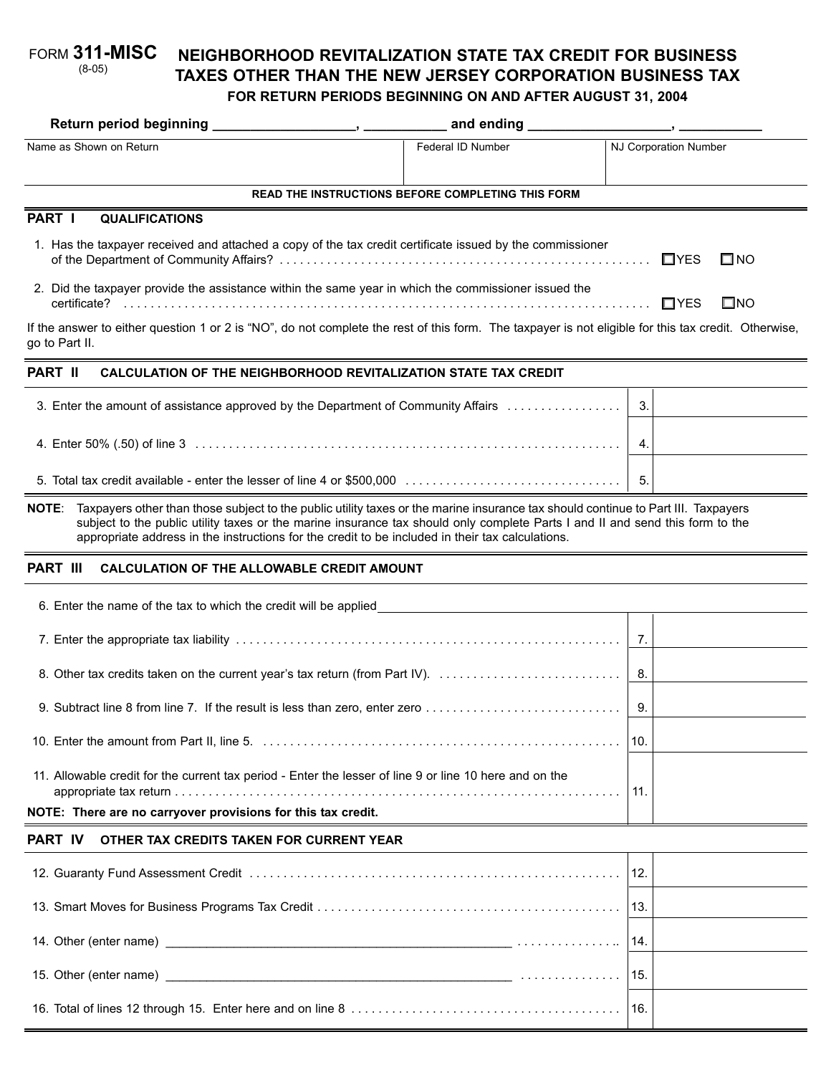#### **NEIGHBORHOOD REVITALIZATION STATE TAX CREDIT FOR BUSINESS TAXES OTHER THAN THE NEW JERSEY CORPORATION BUSINESS TAX FOR RETURN PERIODS BEGINNING ON AND AFTER AUGUST 31, 2004** FORM **311-MISC** (8-05)

|                                                                                                                                                                                                                                                                                                                                                                                        | and ending <b>container and ending</b> |     |                            |  |
|----------------------------------------------------------------------------------------------------------------------------------------------------------------------------------------------------------------------------------------------------------------------------------------------------------------------------------------------------------------------------------------|----------------------------------------|-----|----------------------------|--|
| Name as Shown on Return                                                                                                                                                                                                                                                                                                                                                                | Federal ID Number                      |     | NJ Corporation Number      |  |
| <b>READ THE INSTRUCTIONS BEFORE COMPLETING THIS FORM</b>                                                                                                                                                                                                                                                                                                                               |                                        |     |                            |  |
| PART I<br><b>QUALIFICATIONS</b>                                                                                                                                                                                                                                                                                                                                                        |                                        |     |                            |  |
| 1. Has the taxpayer received and attached a copy of the tax credit certificate issued by the commissioner<br>$\Box$ YES<br>$\square$ NO                                                                                                                                                                                                                                                |                                        |     |                            |  |
| 2. Did the taxpayer provide the assistance within the same year in which the commissioner issued the                                                                                                                                                                                                                                                                                   |                                        |     | $\square$ NO<br>$\Box$ YES |  |
| If the answer to either question 1 or 2 is "NO", do not complete the rest of this form. The taxpayer is not eligible for this tax credit. Otherwise,<br>go to Part II.                                                                                                                                                                                                                 |                                        |     |                            |  |
| PART II<br><b>CALCULATION OF THE NEIGHBORHOOD REVITALIZATION STATE TAX CREDIT</b>                                                                                                                                                                                                                                                                                                      |                                        |     |                            |  |
| 3. Enter the amount of assistance approved by the Department of Community Affairs                                                                                                                                                                                                                                                                                                      |                                        | 3.  |                            |  |
|                                                                                                                                                                                                                                                                                                                                                                                        |                                        | 4.  |                            |  |
|                                                                                                                                                                                                                                                                                                                                                                                        |                                        | 5.  |                            |  |
| Taxpayers other than those subject to the public utility taxes or the marine insurance tax should continue to Part III. Taxpayers<br><b>NOTE:</b><br>subject to the public utility taxes or the marine insurance tax should only complete Parts I and II and send this form to the<br>appropriate address in the instructions for the credit to be included in their tax calculations. |                                        |     |                            |  |
| <b>PART III</b><br><b>CALCULATION OF THE ALLOWABLE CREDIT AMOUNT</b>                                                                                                                                                                                                                                                                                                                   |                                        |     |                            |  |
| 6. Enter the name of the tax to which the credit will be applied                                                                                                                                                                                                                                                                                                                       |                                        |     |                            |  |
|                                                                                                                                                                                                                                                                                                                                                                                        |                                        | 7.  |                            |  |
| 8. Other tax credits taken on the current year's tax return (from Part IV).                                                                                                                                                                                                                                                                                                            |                                        | 8.  |                            |  |
|                                                                                                                                                                                                                                                                                                                                                                                        |                                        | 9.  |                            |  |
|                                                                                                                                                                                                                                                                                                                                                                                        |                                        | 10. |                            |  |
| 11. Allowable credit for the current tax period - Enter the lesser of line 9 or line 10 here and on the<br>NOTE: There are no carryover provisions for this tax credit.                                                                                                                                                                                                                |                                        | 11. |                            |  |
| <b>PART IV</b><br>OTHER TAX CREDITS TAKEN FOR CURRENT YEAR                                                                                                                                                                                                                                                                                                                             |                                        |     |                            |  |
|                                                                                                                                                                                                                                                                                                                                                                                        |                                        | 12. |                            |  |
|                                                                                                                                                                                                                                                                                                                                                                                        |                                        | 13. |                            |  |
|                                                                                                                                                                                                                                                                                                                                                                                        |                                        | 14. |                            |  |
|                                                                                                                                                                                                                                                                                                                                                                                        |                                        | 15. |                            |  |

16. Total of lines 12 through 15. Enter here and on line 8 . . . . . . . . . . . . . . . . . . . . . . . . . . . . . . . . . . . . . . . . 16.